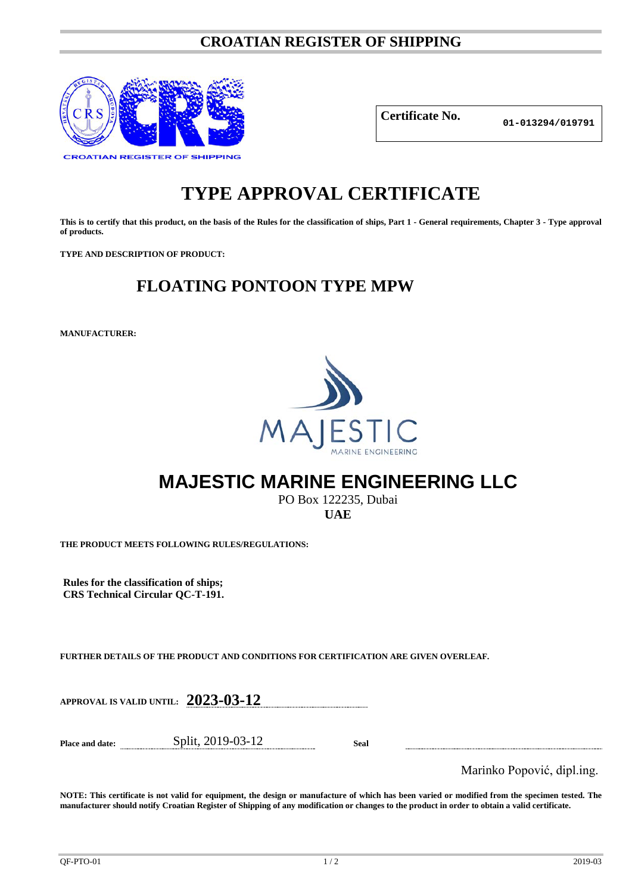### **CROATIAN REGISTER OF SHIPPING**



**Certificate No.**

**01-013294/019791**

# **TYPE APPROVAL CERTIFICATE**

**This is to certify that this product, on the basis of the Rules for the classification of ships, Part 1 - General requirements, Chapter 3 - Type approval of products.**

**TYPE AND DESCRIPTION OF PRODUCT:** 

## **FLOATING PONTOON TYPE MPW**

**MANUFACTURER:**



## **MAJESTIC MARINE ENGINEERING LLC**

PO Box 122235, Dubai **UAE**

**THE PRODUCT MEETS FOLLOWING RULES/REGULATIONS:**

**Rules for the classification of ships; CRS Technical Circular QC-T-191.**

**FURTHER DETAILS OF THE PRODUCT AND CONDITIONS FOR CERTIFICATION ARE GIVEN OVERLEAF.**

**APPROVAL IS VALID UNTIL: 2023-03-12**

**Place and date:** Split, 2019-03-12 **Seal**

Marinko Popović, dipl.ing.

**NOTE: This certificate is not valid for equipment, the design or manufacture of which has been varied or modified from the specimen tested. The manufacturer should notify Croatian Register of Shipping of any modification or changes to the product in order to obtain a valid certificate.**